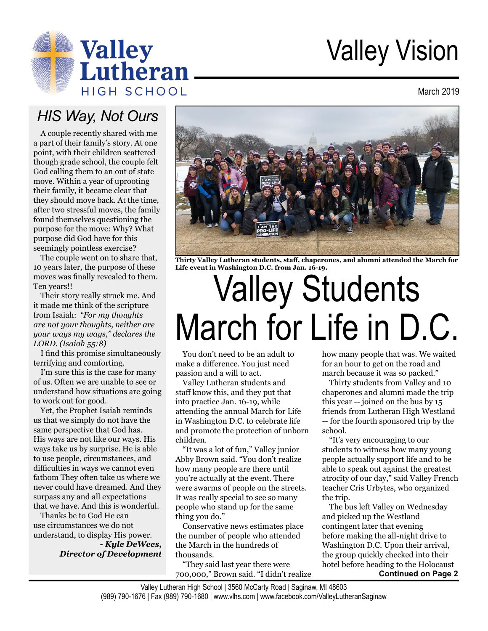

# Valley Vision

March 2019

## *HIS Way, Not Ours*

A couple recently shared with me a part of their family's story. At one point, with their children scattered though grade school, the couple felt God calling them to an out of state move. Within a year of uprooting their family, it became clear that they should move back. At the time, after two stressful moves, the family found themselves questioning the purpose for the move: Why? What purpose did God have for this seemingly pointless exercise?

The couple went on to share that, 10 years later, the purpose of these moves was finally revealed to them. Ten years!!

Their story really struck me. And it made me think of the scripture from Isaiah: *"For my thoughts are not your thoughts, neither are your ways my ways," declares the LORD. (Isaiah 55:8)*

I find this promise simultaneously terrifying and comforting.

I'm sure this is the case for many of us. Often we are unable to see or understand how situations are going to work out for good.

Yet, the Prophet Isaiah reminds us that we simply do not have the same perspective that God has. His ways are not like our ways. His ways take us by surprise. He is able to use people, circumstances, and difficulties in ways we cannot even fathom They often take us where we never could have dreamed. And they surpass any and all expectations that we have. And this is wonderful.

Thanks be to God He can use circumstances we do not understand, to display His power. *- Kyle DeWees, Director of Development*



**Thirty Valley Lutheran students, staff, chaperones, and alumni attended the March for Life event in Washington D.C. from Jan. 16-19.**

# Valley Students March for Life in D.C.

You don't need to be an adult to make a difference. You just need passion and a will to act.

Valley Lutheran students and staff know this, and they put that into practice Jan. 16-19, while attending the annual March for Life in Washington D.C. to celebrate life and promote the protection of unborn children.

"It was a lot of fun," Valley junior Abby Brown said. "You don't realize how many people are there until you're actually at the event. There were swarms of people on the streets. It was really special to see so many people who stand up for the same thing you do."

Conservative news estimates place the number of people who attended the March in the hundreds of thousands.

"They said last year there were 700,000," Brown said. "I didn't realize how many people that was. We waited for an hour to get on the road and march because it was so packed."

Thirty students from Valley and 10 chaperones and alumni made the trip this year -- joined on the bus by 15 friends from Lutheran High Westland -- for the fourth sponsored trip by the school.

"It's very encouraging to our students to witness how many young people actually support life and to be able to speak out against the greatest atrocity of our day," said Valley French teacher Cris Urbytes, who organized the trip.

The bus left Valley on Wednesday and picked up the Westland contingent later that evening before making the all-night drive to Washington D.C. Upon their arrival, the group quickly checked into their hotel before heading to the Holocaust

**Continued on Page 2**